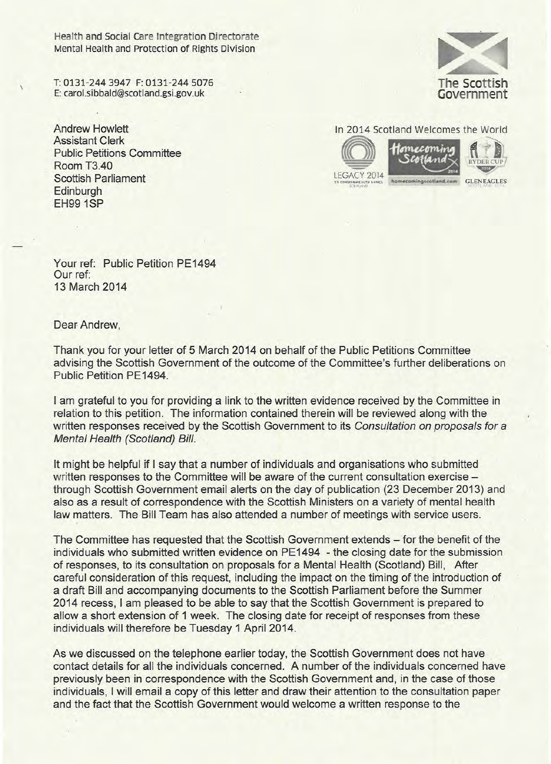Health and Social Care Integration Directorate Mental Health and Protection of Rights Division

T: 0131-244 3947 F: 0131-244 5076 E: carol.sibbald@scotland.gsi.gov.uk

Andrew Howlett Assistant Clerk Public Petitions Committee Room T3.40 Scottish Parliament **Edinburgh** EH99 1SP



**In 2014 Scotland Welcomes the World** 







LEGACY 2014

~/ **GLENEAGLES** 

Your ref: Public Petition PE1494 Our ref: 13 March 2014

Dear Andrew,

Thank you for your letter of 5 March 2014 on behalf of the Public Petitions Committee advising the Scottish Government of the outcome of the Committee's further deliberations on Public Petition PE1494.

I am grateful to you for providing a link to the written evidence received by the Committee in relation to this petition. The information contained therein will be reviewed along with the written responses received by the Scottish Government to its *Consultation on proposals for* a **Mental Health (Scotland) Bill.** 

It might be helpful if I say that a number of individuals and organisations who submitted written responses to the Committee will be aware of the current consultation exercise through Scottish Government email alerts on the day of publication (23 December 2013) and also as a result of correspondence with the Scottish Ministers on a variety of mental health law matters. The Bill Team has also attended a number of meetings with service users.

The Committee has requested that the Scottish Government extends – for the benefit of the individuals who submitted written evidence on PE1494 - the closing date for the submission of responses, to its consultation on proposals for a Mental Health (Scotland) Bill, After careful consideration of this request, including the impact on the timing of the introduction of a draft Bill and accompanying documents to the Scottish Parliament before the Summer 2014 recess, I am pleased to be able to say that the Scottish Government is prepared to allow a short extension of 1 week. The closing date for receipt of responses from these individuals will therefore be Tuesday 1 April 2014.

As we discussed on the telephone earlier today, the Scottish Government does not have contact details for all the individuals concerned. A number of the individuals concerned have previously been in correspondence with the Scottish Government and, in the case of those individuals, I will email a copy of this letter and draw their attention to the consultation paper and the fact that the Scottish Government would welcome a written response to the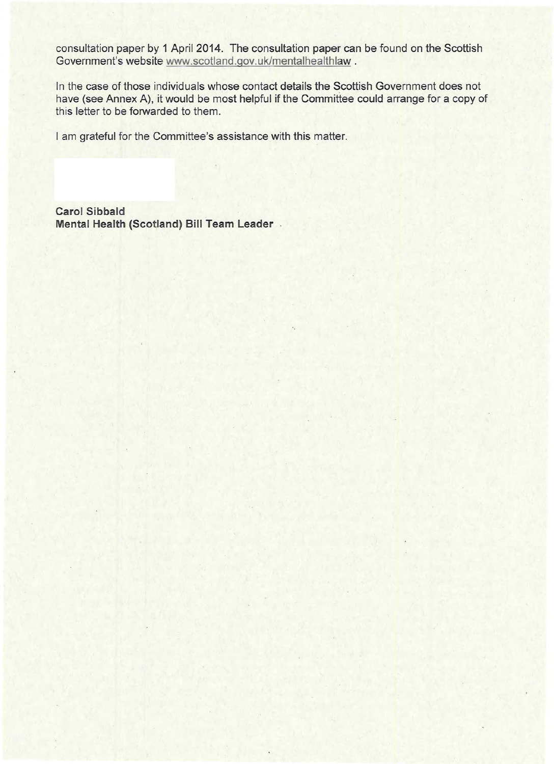consultation paper by 1 April 2014. The consultation paper can be found on the Scottish Government's website www.scotland.gov.uk/mentalhealthlaw.

In the case of those individuals whose contact details the Scottish Government does not have (see Annex A), it would be most helpful if the Committee could arrange for a copy of this letter to be forwarded to them.

I am grateful for the Committee's assistance with this matter.

**Carol Sibbald Mental Health (Scotland) Bill Team Leader**